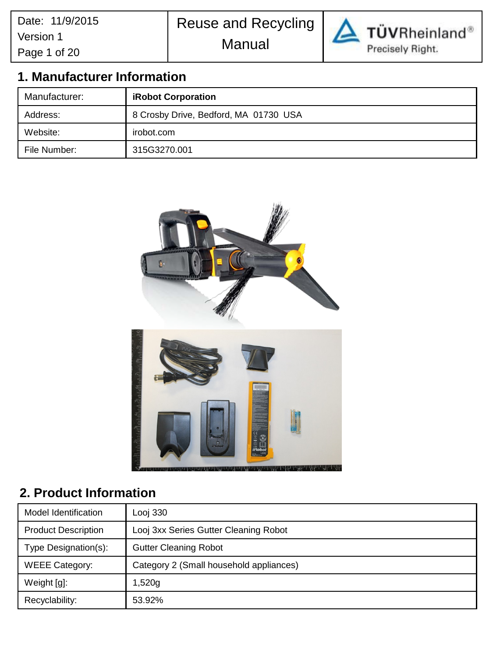Reuse and Recycling





TÜVRheinland® Precisely Right.

# **1. Manufacturer Information**

| Manufacturer:                                     | <b>iRobot Corporation</b> |  |
|---------------------------------------------------|---------------------------|--|
| 8 Crosby Drive, Bedford, MA 01730 USA<br>Address: |                           |  |
| Website:                                          | irobot.com                |  |
| File Number:                                      | 315G3270.001              |  |



# **2. Product Information**

| Model Identification                                             | Looj 330                              |  |
|------------------------------------------------------------------|---------------------------------------|--|
| <b>Product Description</b>                                       | Looj 3xx Series Gutter Cleaning Robot |  |
| Type Designation(s):                                             | <b>Gutter Cleaning Robot</b>          |  |
| <b>WEEE Category:</b><br>Category 2 (Small household appliances) |                                       |  |
| Weight [g]:<br>1,520g                                            |                                       |  |
| Recyclability:                                                   | 53.92%                                |  |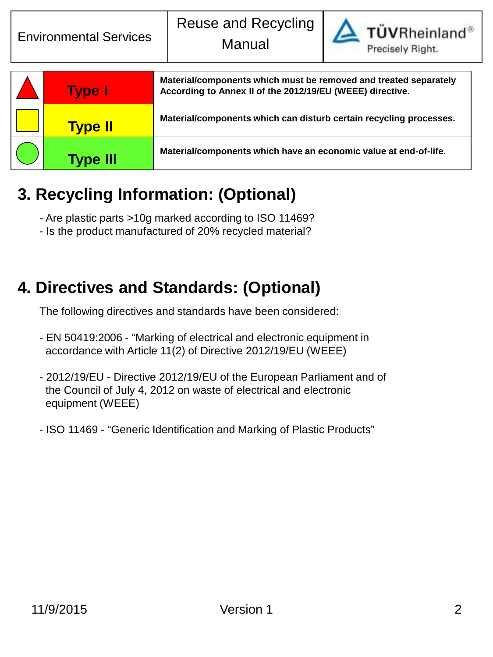

TÜVRheinland®

| <b>Type I</b>   | Material/components which must be removed and treated separately<br>According to Annex II of the 2012/19/EU (WEEE) directive. |
|-----------------|-------------------------------------------------------------------------------------------------------------------------------|
| <b>Type II</b>  | Material/components which can disturb certain recycling processes.                                                            |
| <b>Type III</b> | Material/components which have an economic value at end-of-life.                                                              |

# **3. Recycling Information: (Optional)**

- Are plastic parts >10g marked according to ISO 11469?
- Is the product manufactured of 20% recycled material?

# **4. Directives and Standards: (Optional)**

The following directives and standards have been considered:

- EN 50419:2006 "Marking of electrical and electronic equipment in accordance with Article 11(2) of Directive 2012/19/EU (WEEE)
- 2012/19/EU Directive 2012/19/EU of the European Parliament and of the Council of July 4, 2012 on waste of electrical and electronic equipment (WEEE)
- ISO 11469 "Generic Identification and Marking of Plastic Products"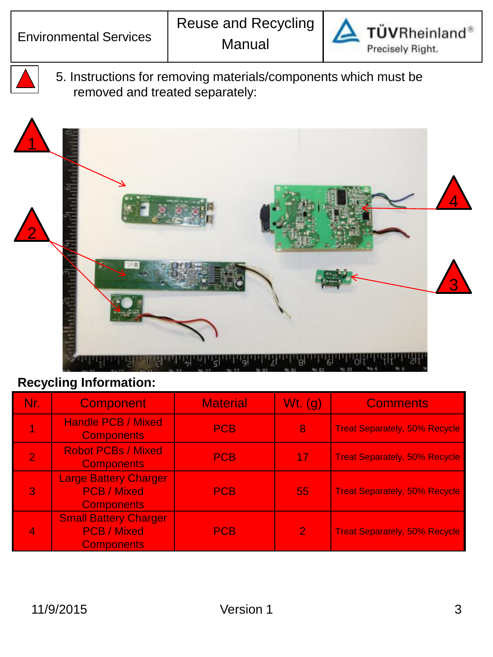

5. Instructions for removing materials/components which must be removed and treated separately:



| Nr. | <b>Component</b>                                                        | <b>Material</b> | Wt. $(q)$      | <b>Comments</b>                      |
|-----|-------------------------------------------------------------------------|-----------------|----------------|--------------------------------------|
|     | <b>Handle PCB / Mixed</b><br><b>Components</b>                          | <b>PCB</b>      | 8              | <b>Treat Separately, 50% Recycle</b> |
|     | <b>Robot PCBs / Mixed</b><br><b>Components</b>                          | <b>PCB</b>      | 17             | <b>Treat Separately, 50% Recycle</b> |
| 3   | <b>Large Battery Charger</b><br><b>PCB / Mixed</b><br><b>Components</b> | <b>PCB</b>      | 55             | <b>Treat Separately, 50% Recycle</b> |
|     | <b>Small Battery Charger</b><br><b>PCB / Mixed</b><br><b>Components</b> | <b>PCB</b>      | $\overline{2}$ | <b>Treat Separately, 50% Recycle</b> |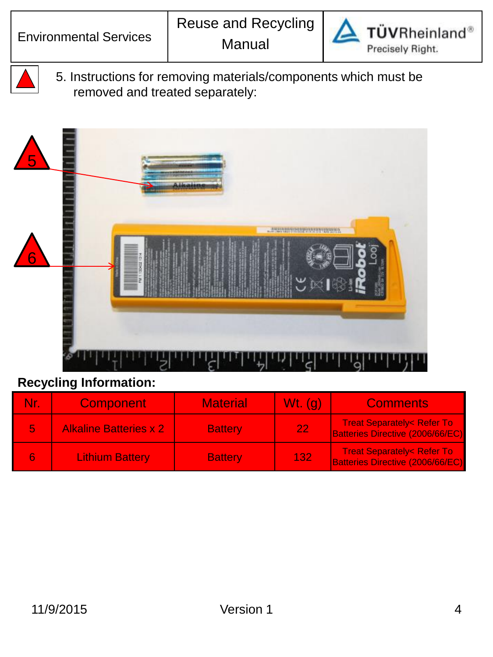

5. Instructions for removing materials/components which must be removed and treated separately:



| Nr. | <b>Component</b>              | <b>Material</b> | $Wt.$ (q)   | <b>Comments</b>                                                                 |
|-----|-------------------------------|-----------------|-------------|---------------------------------------------------------------------------------|
|     | <b>Alkaline Batteries x 2</b> | <b>Battery</b>  | 221         | <b>Treat Separately&lt; Refer To</b><br>Batteries Directive (2006/66/EC)        |
|     | <b>Lithium Battery</b>        | <b>Battery</b>  | <b>1327</b> | <b>Treat Separately&lt; Refer To</b><br><b>Batteries Directive (2006/66/EC)</b> |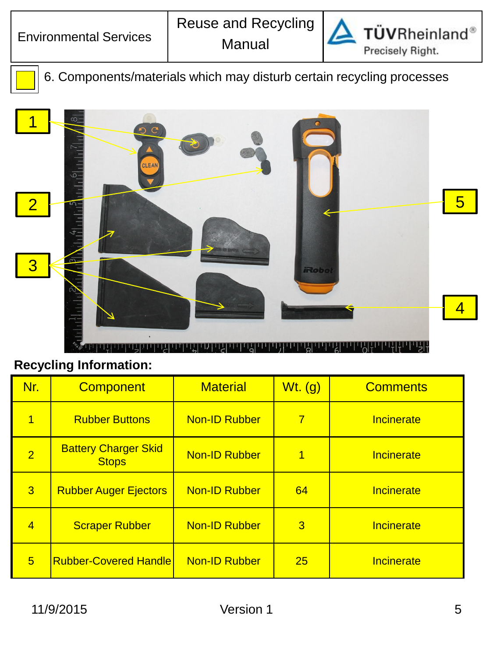

6. Components/materials which may disturb certain recycling processes



| Nr.            | <b>Component</b>                            | <b>Material</b>      | $Wt.$ (g)      | <b>Comments</b> |
|----------------|---------------------------------------------|----------------------|----------------|-----------------|
| 1              | <b>Rubber Buttons</b>                       | <b>Non-ID Rubber</b> | $\overline{7}$ | Incinerate      |
| $\overline{2}$ | <b>Battery Charger Skid</b><br><b>Stops</b> | <b>Non-ID Rubber</b> | 1              | Incinerate      |
| 3              | <b>Rubber Auger Ejectors</b>                | <b>Non-ID Rubber</b> | 64             | Incinerate      |
| $\overline{4}$ | <b>Scraper Rubber</b>                       | <b>Non-ID Rubber</b> | 3              | Incinerate      |
| 5              | <b>Rubber-Covered Handle</b>                | <b>Non-ID Rubber</b> | 25             | Incinerate      |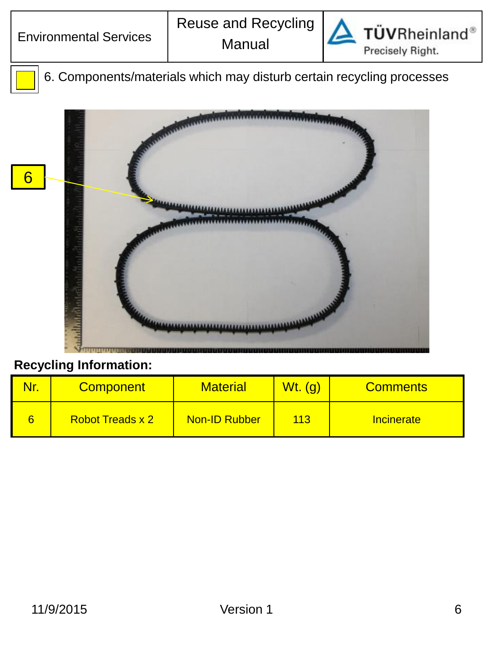

6. Components/materials which may disturb certain recycling processes



| Nr. | <b>Component</b>        | <b>Material</b>      | <u>Wt. (g)</u> | <b>Comments</b>   |
|-----|-------------------------|----------------------|----------------|-------------------|
|     | <b>Robot Treads x 2</b> | <b>Non-ID Rubber</b> | 113            | <b>Incinerate</b> |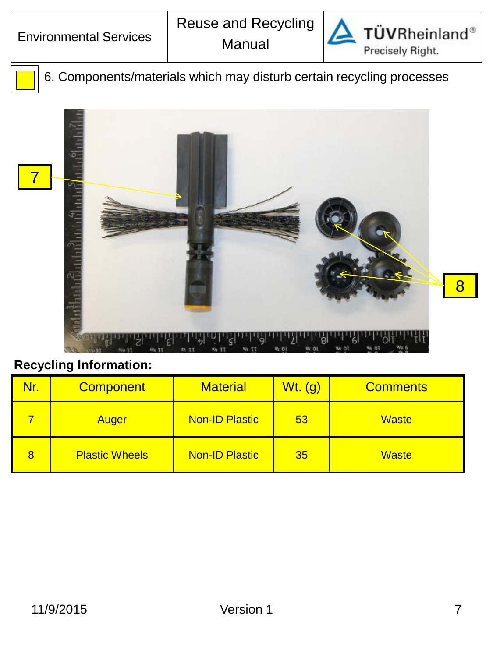

**TÜVRheinland®** Precisely Right.

6. Components/materials which may disturb certain recycling processes



| Nr. | <b>Component</b>      | <b>Material</b>       | $Wt.$ (g) | <b>Comments</b> |
|-----|-----------------------|-----------------------|-----------|-----------------|
|     | Auger                 | <b>Non-ID Plastic</b> | 53        | <b>Waste</b>    |
| 8   | <b>Plastic Wheels</b> | <b>Non-ID Plastic</b> | 35        | <b>Waste</b>    |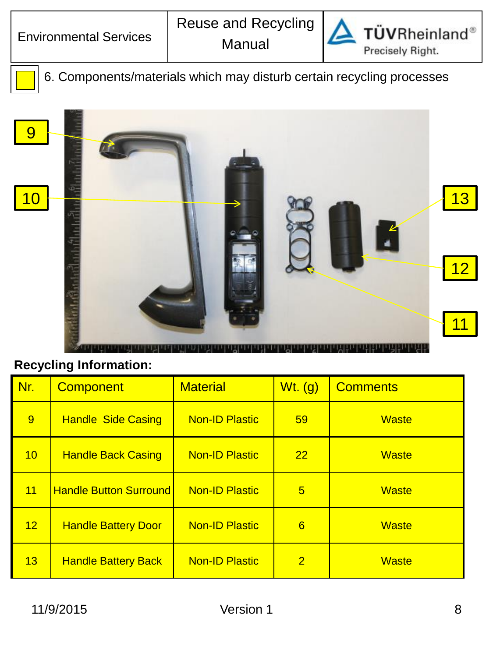

6. Components/materials which may disturb certain recycling processes



| Nr. | <b>Component</b>              | <b>Material</b>       | $Wt.$ (g)       | <b>Comments</b> |
|-----|-------------------------------|-----------------------|-----------------|-----------------|
| 9   | <b>Handle Side Casing</b>     | <b>Non-ID Plastic</b> | 59              | <b>Waste</b>    |
| 10  | <b>Handle Back Casing</b>     | <b>Non-ID Plastic</b> | 22              | <b>Waste</b>    |
| 11  | <b>Handle Button Surround</b> | <b>Non-ID Plastic</b> | $5\overline{)}$ | <b>Waste</b>    |
| 12  | <b>Handle Battery Door</b>    | <b>Non-ID Plastic</b> | $6\overline{6}$ | <b>Waste</b>    |
| 13  | <b>Handle Battery Back</b>    | <b>Non-ID Plastic</b> | $\overline{2}$  | <b>Waste</b>    |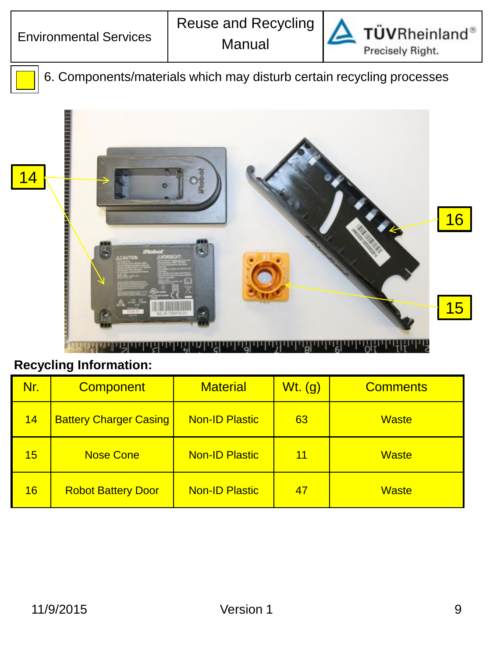

**TÜVRheinland®** Precisely Right.

6. Components/materials which may disturb certain recycling processes



| Nr. | <b>Component</b>              | <b>Material</b>       | $Wt.$ (g) | <b>Comments</b> |
|-----|-------------------------------|-----------------------|-----------|-----------------|
| 14  | <b>Battery Charger Casing</b> | <b>Non-ID Plastic</b> | 63        | <b>Waste</b>    |
| 15  | <b>Nose Cone</b>              | <b>Non-ID Plastic</b> | 11        | <b>Waste</b>    |
| 16  | <b>Robot Battery Door</b>     | <b>Non-ID Plastic</b> | 47        | <b>Waste</b>    |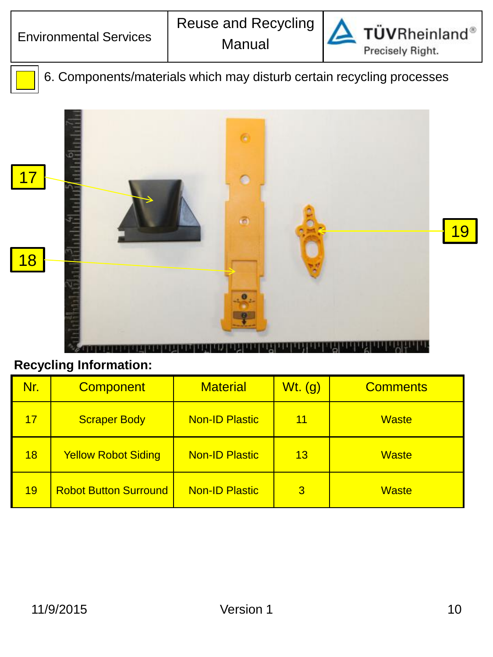

**TÜVRheinland®** Precisely Right.

6. Components/materials which may disturb certain recycling processes



| Nr. | <b>Component</b>             | <b>Material</b>       | $Wt.$ (g)      | <b>Comments</b> |
|-----|------------------------------|-----------------------|----------------|-----------------|
| 17  | <b>Scraper Body</b>          | <b>Non-ID Plastic</b> | 11             | Waste           |
| 18  | <b>Yellow Robot Siding</b>   | <b>Non-ID Plastic</b> | 13             | <b>Waste</b>    |
| 19  | <b>Robot Button Surround</b> | <b>Non-ID Plastic</b> | $\overline{3}$ | <b>Waste</b>    |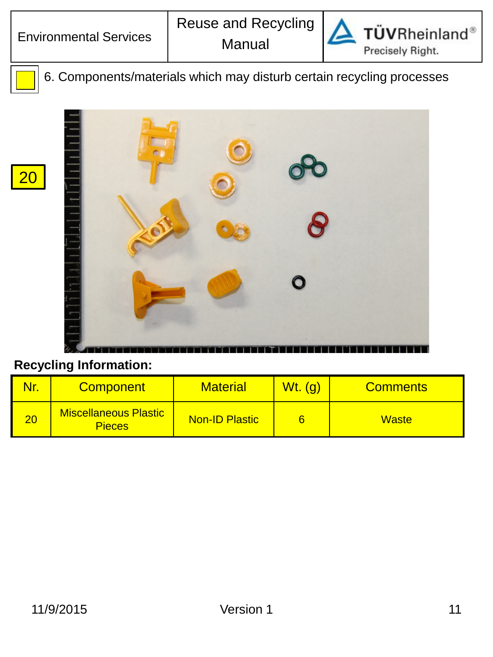20



**TÜVRheinland®** Precisely Right.

6. Components/materials which may disturb certain recycling processes



| Nr              | <b>Component</b>                              | <b>Material</b>       | <u> Wt. (g)</u> | <b>Comments</b> |
|-----------------|-----------------------------------------------|-----------------------|-----------------|-----------------|
| $\overline{20}$ | <b>Miscellaneous Plastic</b><br><b>Pieces</b> | <b>Non-ID Plastic</b> |                 | <b>Waste</b>    |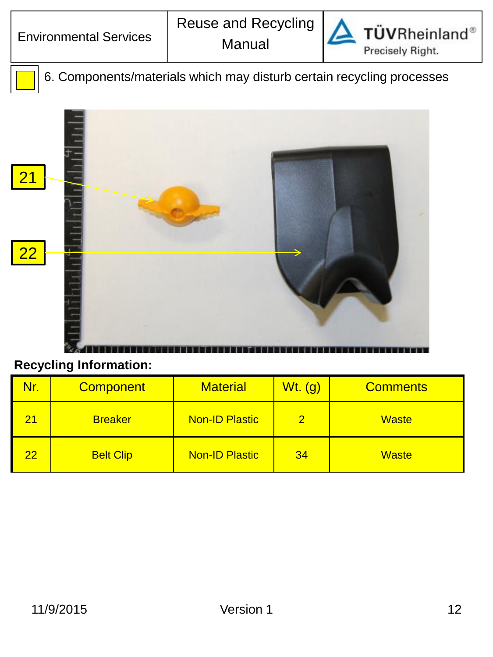

**TÜVRheinland®** Precisely Right.

6. Components/materials which may disturb certain recycling processes



| Nr. | <b>Component</b> | <b>Material</b>       | $Wt.$ (g)     | <b>Comments</b> |
|-----|------------------|-----------------------|---------------|-----------------|
| 21  | <b>Breaker</b>   | <b>Non-ID Plastic</b> | $\mathcal{P}$ | <b>Waste</b>    |
| 22  | <b>Belt Clip</b> | <b>Non-ID Plastic</b> | 34            | <b>Waste</b>    |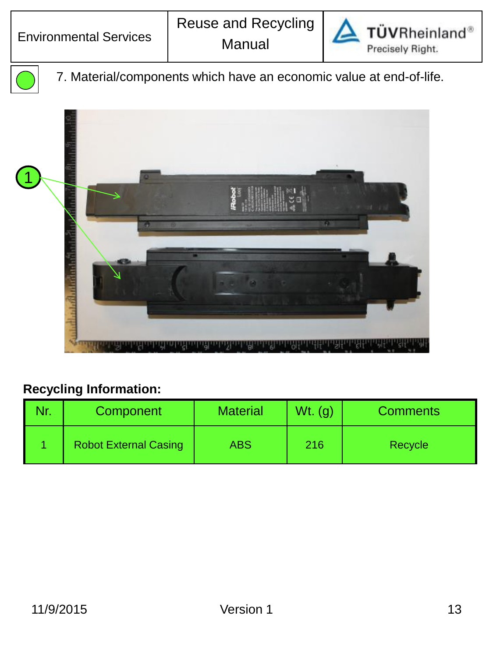

TÜVRheinland<sup>®</sup> Precisely Right.



7. Material/components which have an economic value at end-of-life.



| Nr. | Component                    | <b>Material</b> | $Wt.$ (g) | <b>Comments</b> |
|-----|------------------------------|-----------------|-----------|-----------------|
|     | <b>Robot External Casing</b> | ABS             | 216       | <b>Recycle</b>  |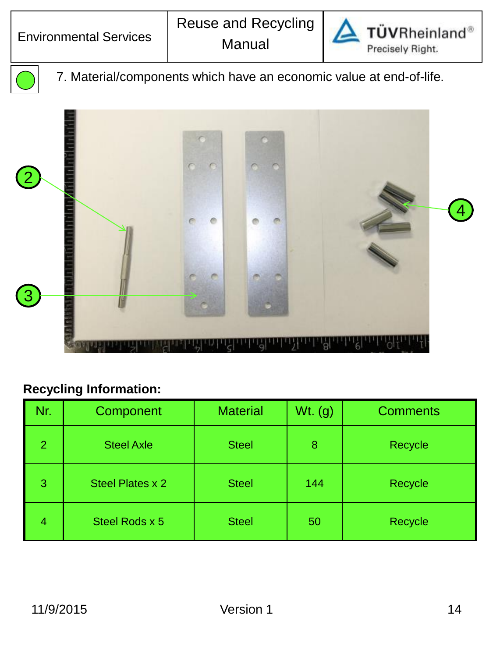

TÜVRheinland® Precisely Right.

7. Material/components which have an economic value at end-of-life.



| Nr.            | Component         | <b>Material</b> | $Wt.$ (g) | <b>Comments</b> |
|----------------|-------------------|-----------------|-----------|-----------------|
| $\overline{2}$ | <b>Steel Axle</b> | <b>Steel</b>    | 8         | Recycle         |
| 3              | Steel Plates x 2  | <b>Steel</b>    | 144       | Recycle         |
| 4              | Steel Rods x 5    | <b>Steel</b>    | 50        | Recycle         |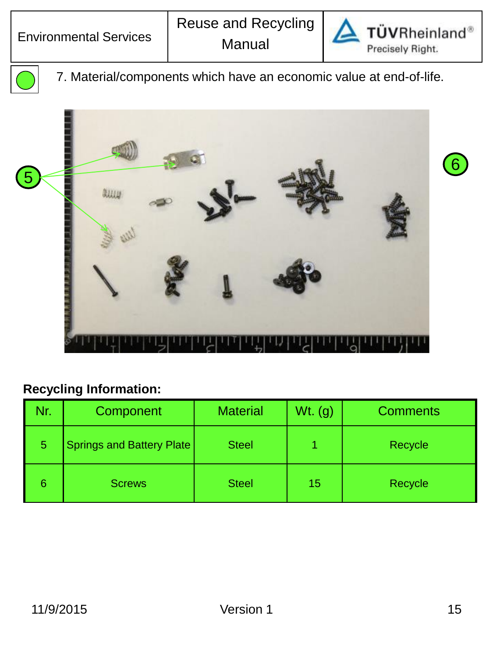

TÜVRheinland<sup>®</sup> Precisely Right.

7. Material/components which have an economic value at end-of-life.



| Nr. | Component                        | <b>Material</b> | $Wt.$ (g) | <b>Comments</b> |
|-----|----------------------------------|-----------------|-----------|-----------------|
| 5   | <b>Springs and Battery Plate</b> | <b>Steel</b>    |           | Recycle         |
| 6   | <b>Screws</b>                    | <b>Steel</b>    | 15        | Recycle         |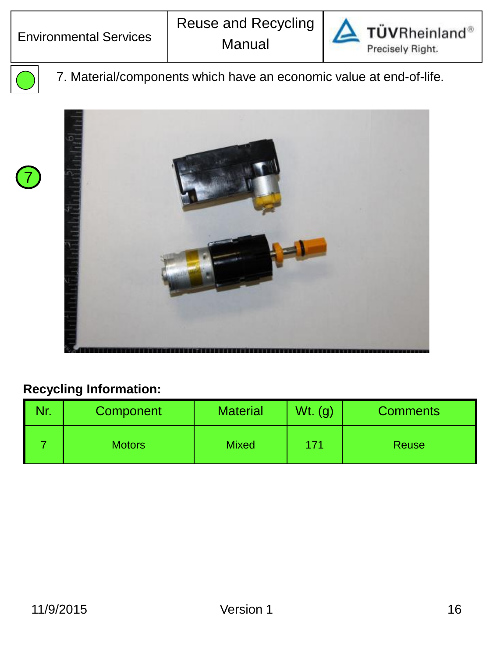



7

7. Material/components which have an economic value at end-of-life.



| Component     | <b>Material</b> | Wt.<br>. (g) | <b>Comments</b> |
|---------------|-----------------|--------------|-----------------|
| <b>Motors</b> | <b>Mixed</b>    | 171          | <b>Reuse</b>    |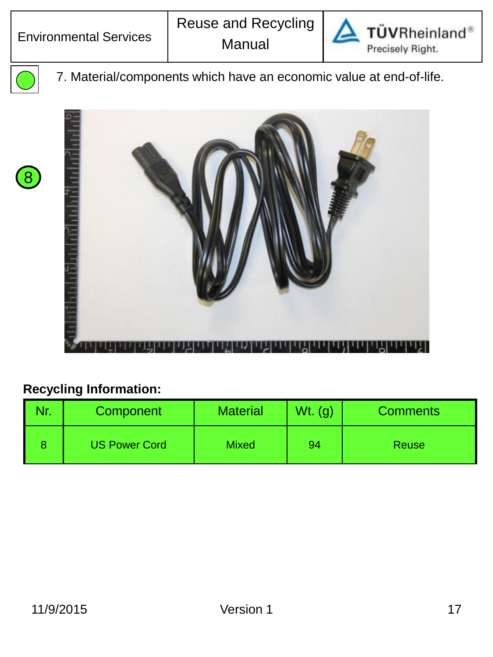



8

7. Material/components which have an economic value at end-of-life.



| Nr. | Component            | <b>Material</b> | $Wt.$ (g) | <b>Comments</b> |
|-----|----------------------|-----------------|-----------|-----------------|
|     | <b>US Power Cord</b> | <b>Mixed</b>    | 94        | <b>Reuse</b>    |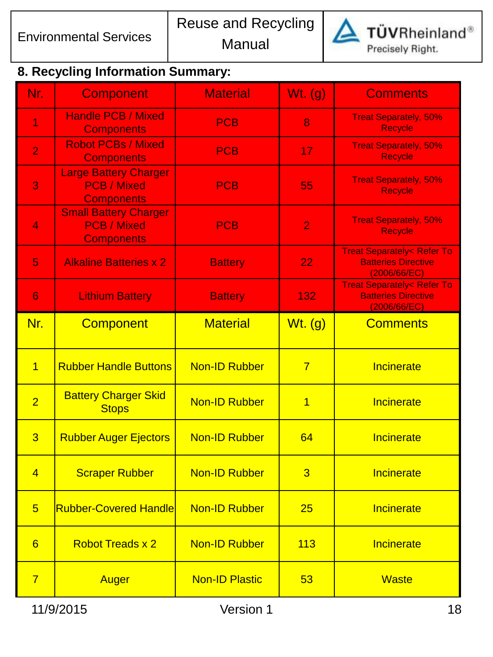

TÜVRheinland®

Precisely Right.

# **8. Recycling Information Summary:**

| Nr.             | <b>Component</b>                                                        | <b>Material</b>       | Wt. $(g)$      | <b>Comments</b>                                                                    |
|-----------------|-------------------------------------------------------------------------|-----------------------|----------------|------------------------------------------------------------------------------------|
| 1               | <b>Handle PCB / Mixed</b><br><b>Components</b>                          | <b>PCB</b>            | 8              | <b>Treat Separately, 50%</b><br><b>Recycle</b>                                     |
| $\overline{2}$  | <b>Robot PCBs / Mixed</b><br><b>Components</b>                          | <b>PCB</b>            | 17             | <b>Treat Separately, 50%</b><br><b>Recycle</b>                                     |
| 3               | <b>Large Battery Charger</b><br><b>PCB / Mixed</b><br><b>Components</b> | <b>PCB</b>            | 55             | <b>Treat Separately, 50%</b><br>Recycle                                            |
| $\overline{4}$  | <b>Small Battery Charger</b><br><b>PCB / Mixed</b><br><b>Components</b> | <b>PCB</b>            | $\overline{2}$ | <b>Treat Separately, 50%</b><br><b>Recycle</b>                                     |
| 5               | <b>Alkaline Batteries x 2</b>                                           | <b>Battery</b>        | 22             | <b>Treat Separately&lt; Refer To</b><br><b>Batteries Directive</b><br>(2006/66/EC) |
| 6               | <b>Lithium Battery</b>                                                  | <b>Battery</b>        | 132            | <b>Treat Separately&lt; Refer To</b><br><b>Batteries Directive</b><br>(2006/66/EC) |
| Nr.             | <b>Component</b>                                                        | <b>Material</b>       | $Wt.$ (g)      | <b>Comments</b>                                                                    |
| $\overline{1}$  | <b>Rubber Handle Buttons</b>                                            | <b>Non-ID Rubber</b>  | $\overline{7}$ | Incinerate                                                                         |
| $\overline{2}$  | <b>Battery Charger Skid</b><br><b>Stops</b>                             | <b>Non-ID Rubber</b>  | 1              | Incinerate                                                                         |
| $\overline{3}$  | <b>Rubber Auger Ejectors</b>                                            | <b>Non-ID Rubber</b>  | 64             | Incinerate                                                                         |
| $\overline{4}$  | <b>Scraper Rubber</b>                                                   | <b>Non-ID Rubber</b>  | 3              | Incinerate                                                                         |
| $5\overline{)}$ | <b>Rubber-Covered Handle</b>                                            | <b>Non-ID Rubber</b>  | 25             | Incinerate                                                                         |
| $6\overline{6}$ | <b>Robot Treads x 2</b>                                                 | <b>Non-ID Rubber</b>  | 113            | Incinerate                                                                         |
| $\overline{7}$  | Auger                                                                   | <b>Non-ID Plastic</b> | 53             | <b>Waste</b>                                                                       |
|                 | 11/9/2015                                                               | Version 1             |                | 18                                                                                 |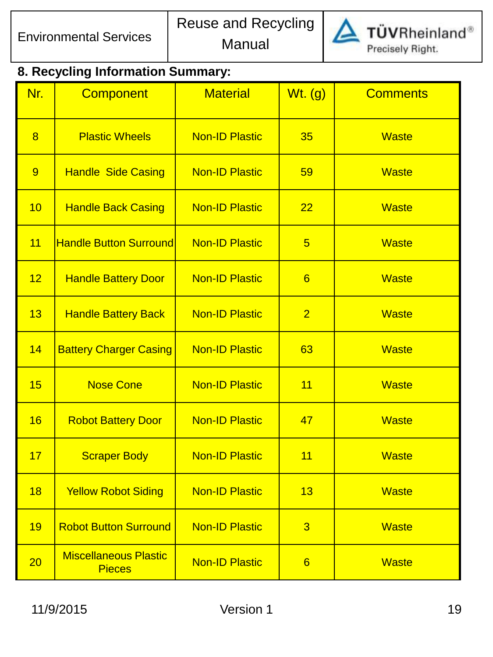

#### **8. Recycling Information Summary:**

| Nr. | <b>Component</b>                              | <b>Material</b>       | $Wt.$ (g)       | <b>Comments</b> |
|-----|-----------------------------------------------|-----------------------|-----------------|-----------------|
| 8   | <b>Plastic Wheels</b>                         | <b>Non-ID Plastic</b> | 35              | <b>Waste</b>    |
| 9   | <b>Handle Side Casing</b>                     | <b>Non-ID Plastic</b> | 59              | <b>Waste</b>    |
| 10  | <b>Handle Back Casing</b>                     | <b>Non-ID Plastic</b> | 22              | <b>Waste</b>    |
| 11  | <b>Handle Button Surround</b>                 | <b>Non-ID Plastic</b> | $5\overline{)}$ | <b>Waste</b>    |
| 12  | <b>Handle Battery Door</b>                    | <b>Non-ID Plastic</b> | 6               | <b>Waste</b>    |
| 13  | <b>Handle Battery Back</b>                    | <b>Non-ID Plastic</b> | $\overline{2}$  | <b>Waste</b>    |
| 14  | <b>Battery Charger Casing</b>                 | <b>Non-ID Plastic</b> | 63              | <b>Waste</b>    |
| 15  | <b>Nose Cone</b>                              | <b>Non-ID Plastic</b> | 11              | <b>Waste</b>    |
| 16  | <b>Robot Battery Door</b>                     | <b>Non-ID Plastic</b> | 47              | <b>Waste</b>    |
| 17  | <b>Scraper Body</b>                           | <b>Non-ID Plastic</b> | 11              | <b>Waste</b>    |
| 18  | <b>Yellow Robot Siding</b>                    | <b>Non-ID Plastic</b> | 13              | <b>Waste</b>    |
| 19  | <b>Robot Button Surround</b>                  | <b>Non-ID Plastic</b> | $\overline{3}$  | <b>Waste</b>    |
| 20  | <b>Miscellaneous Plastic</b><br><b>Pieces</b> | <b>Non-ID Plastic</b> | 6               | <b>Waste</b>    |

11/9/2015 Version 1 19